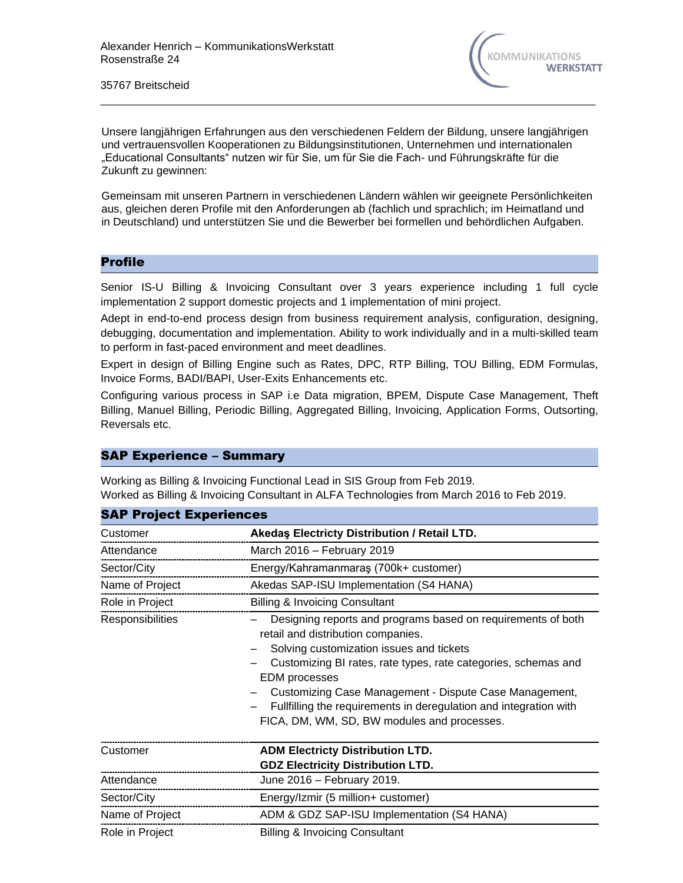

35767 Breitscheid

Unsere langjährigen Erfahrungen aus den verschiedenen Feldern der Bildung, unsere langjährigen und vertrauensvollen Kooperationen zu Bildungsinstitutionen, Unternehmen und internationalen "Educational Consultants" nutzen wir für Sie, um für Sie die Fach- und Führungskräfte für die Zukunft zu gewinnen:

\_\_\_\_\_\_\_\_\_\_\_\_\_\_\_\_\_\_\_\_\_\_\_\_\_\_\_\_\_\_\_\_\_\_\_\_\_\_\_\_\_\_\_\_\_\_\_\_\_\_\_\_\_\_\_\_\_\_\_\_\_\_\_\_\_\_\_\_\_\_\_\_\_\_

Gemeinsam mit unseren Partnern in verschiedenen Ländern wählen wir geeignete Persönlichkeiten aus, gleichen deren Profile mit den Anforderungen ab (fachlich und sprachlich; im Heimatland und in Deutschland) und unterstützen Sie und die Bewerber bei formellen und behördlichen Aufgaben.

## Profile Hier ein konkretes Praxisbeispiel aus unserem Portfolio von Fach- und Führungskräften:

Senior IS-U Billing & Invoicing Consultant over 3 years experience including 1 full cycle implementation 2 support domestic projects and 1 implementation of mini project.

Adept in end-to-end process design from business requirement analysis, configuration, designing, debugging, documentation and implementation. Ability to work individually and in a multi-skilled team to perform in fast-paced environment and meet deadlines.

Expert in design of Billing Engine such as Rates, DPC, RTP Billing, TOU Billing, EDM Formulas, Invoice Forms, BADI/BAPI, User-Exits Enhancements etc.

Configuring various process in SAP i.e Data migration, BPEM, Dispute Case Management, Theft Billing, Manuel Billing, Periodic Billing, Aggregated Billing, Invoicing, Application Forms, Outsorting, Reversals etc.

## SAP Experience – Summary

Working as Billing & Invoicing Functional Lead in SIS Group from Feb 2019. Worked as Billing & Invoicing Consultant in ALFA Technologies from March 2016 to Feb 2019.

| <b>SAP Project Experiences</b> |                                                                                                                                                                                                                                                                                                                                                                                                                        |  |
|--------------------------------|------------------------------------------------------------------------------------------------------------------------------------------------------------------------------------------------------------------------------------------------------------------------------------------------------------------------------------------------------------------------------------------------------------------------|--|
| Customer                       | Akedaş Electricty Distribution / Retail LTD.                                                                                                                                                                                                                                                                                                                                                                           |  |
| Attendance                     | March 2016 - February 2019                                                                                                                                                                                                                                                                                                                                                                                             |  |
| Sector/City                    | Energy/Kahramanmaraş (700k+ customer)                                                                                                                                                                                                                                                                                                                                                                                  |  |
| Name of Project                | Akedas SAP-ISU Implementation (S4 HANA)                                                                                                                                                                                                                                                                                                                                                                                |  |
| Role in Project                | <b>Billing &amp; Invoicing Consultant</b>                                                                                                                                                                                                                                                                                                                                                                              |  |
| Responsibilities               | Designing reports and programs based on requirements of both<br>retail and distribution companies.<br>Solving customization issues and tickets<br>Customizing BI rates, rate types, rate categories, schemas and<br><b>EDM</b> processes<br>Customizing Case Management - Dispute Case Management,<br>Fullfilling the requirements in deregulation and integration with<br>FICA, DM, WM, SD, BW modules and processes. |  |
| Customer                       | <b>ADM Electricty Distribution LTD.</b><br><b>GDZ Electricity Distribution LTD.</b>                                                                                                                                                                                                                                                                                                                                    |  |
| Attendance                     | June 2016 - February 2019.                                                                                                                                                                                                                                                                                                                                                                                             |  |
| Sector/City                    | Energy/Izmir (5 million+ customer)                                                                                                                                                                                                                                                                                                                                                                                     |  |
| Name of Project                | ADM & GDZ SAP-ISU Implementation (S4 HANA)                                                                                                                                                                                                                                                                                                                                                                             |  |

Role in Project Billing & Invoicing Consultant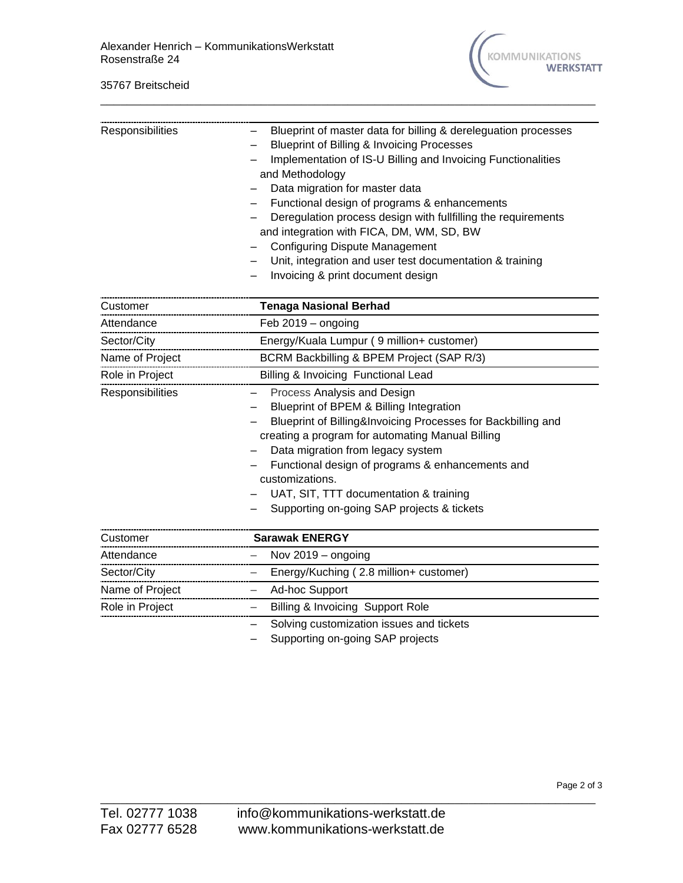

| Responsibilities | Blueprint of master data for billing & dereleguation processes<br><b>Blueprint of Billing &amp; Invoicing Processes</b><br>Implementation of IS-U Billing and Invoicing Functionalities<br>and Methodology<br>Data migration for master data<br>Functional design of programs & enhancements<br>Deregulation process design with fullfilling the requirements<br>and integration with FICA, DM, WM, SD, BW<br><b>Configuring Dispute Management</b><br>Unit, integration and user test documentation & training<br>Invoicing & print document design |
|------------------|------------------------------------------------------------------------------------------------------------------------------------------------------------------------------------------------------------------------------------------------------------------------------------------------------------------------------------------------------------------------------------------------------------------------------------------------------------------------------------------------------------------------------------------------------|
| Customer         | <b>Tenaga Nasional Berhad</b>                                                                                                                                                                                                                                                                                                                                                                                                                                                                                                                        |
| Attendance       | Feb $2019 -$ ongoing                                                                                                                                                                                                                                                                                                                                                                                                                                                                                                                                 |
| Sector/City      | Energy/Kuala Lumpur (9 million+ customer)                                                                                                                                                                                                                                                                                                                                                                                                                                                                                                            |
| Name of Project  | BCRM Backbilling & BPEM Project (SAP R/3)                                                                                                                                                                                                                                                                                                                                                                                                                                                                                                            |
| Role in Project  | Billing & Invoicing Functional Lead                                                                                                                                                                                                                                                                                                                                                                                                                                                                                                                  |
| Responsibilities | Process Analysis and Design<br>Blueprint of BPEM & Billing Integration<br>Blueprint of Billing&Invoicing Processes for Backbilling and<br>creating a program for automating Manual Billing<br>Data migration from legacy system<br>Functional design of programs & enhancements and<br>customizations.<br>UAT, SIT, TTT documentation & training<br>Supporting on-going SAP projects & tickets                                                                                                                                                       |
| Customer         | <b>Sarawak ENERGY</b>                                                                                                                                                                                                                                                                                                                                                                                                                                                                                                                                |
| Attendance       | Nov $2019 -$ ongoing                                                                                                                                                                                                                                                                                                                                                                                                                                                                                                                                 |
| Sector/City      | Energy/Kuching (2.8 million+ customer)                                                                                                                                                                                                                                                                                                                                                                                                                                                                                                               |
| Name of Project  | Ad-hoc Support                                                                                                                                                                                                                                                                                                                                                                                                                                                                                                                                       |
| Role in Project  | Billing & Invoicing Support Role<br>$\overline{\phantom{0}}$                                                                                                                                                                                                                                                                                                                                                                                                                                                                                         |

\_\_\_\_\_\_\_\_\_\_\_\_\_\_\_\_\_\_\_\_\_\_\_\_\_\_\_\_\_\_\_\_\_\_\_\_\_\_\_\_\_\_\_\_\_\_\_\_\_\_\_\_\_\_\_\_\_\_\_\_\_\_\_\_\_\_\_\_\_\_\_\_\_\_

– Solving customization issues and tickets

– Supporting on-going SAP projects

\_\_\_\_\_\_\_\_\_\_\_\_\_\_\_\_\_\_\_\_\_\_\_\_\_\_\_\_\_\_\_\_\_\_\_\_\_\_\_\_\_\_\_\_\_\_\_\_\_\_\_\_\_\_\_\_\_\_\_\_\_\_\_\_\_\_\_\_\_\_\_\_\_\_